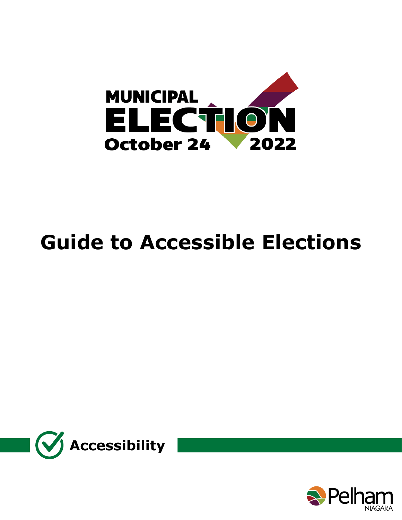

# **Guide to Accessible Elections**



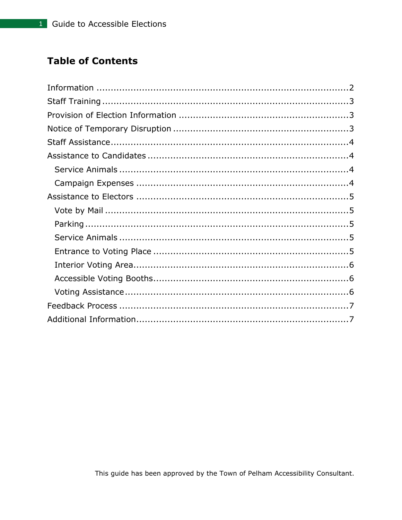# **Table of Contents**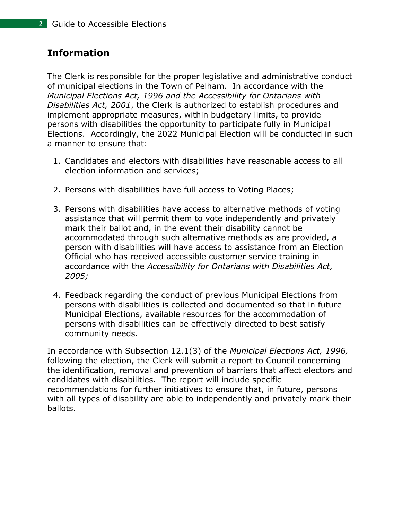# <span id="page-2-0"></span>**Information**

The Clerk is responsible for the proper legislative and administrative conduct of municipal elections in the Town of Pelham. In accordance with the *Municipal Elections Act, 1996 and the Accessibility for Ontarians with Disabilities Act, 2001*, the Clerk is authorized to establish procedures and implement appropriate measures, within budgetary limits, to provide persons with disabilities the opportunity to participate fully in Municipal Elections. Accordingly, the 2022 Municipal Election will be conducted in such a manner to ensure that:

- 1. Candidates and electors with disabilities have reasonable access to all election information and services;
- 2. Persons with disabilities have full access to Voting Places;
- 3. Persons with disabilities have access to alternative methods of voting assistance that will permit them to vote independently and privately mark their ballot and, in the event their disability cannot be accommodated through such alternative methods as are provided, a person with disabilities will have access to assistance from an Election Official who has received accessible customer service training in accordance with the *Accessibility for Ontarians with Disabilities Act, 2005;*
- 4. Feedback regarding the conduct of previous Municipal Elections from persons with disabilities is collected and documented so that in future Municipal Elections, available resources for the accommodation of persons with disabilities can be effectively directed to best satisfy community needs.

In accordance with Subsection 12.1(3) of the *Municipal Elections Act, 1996,*  following the election, the Clerk will submit a report to Council concerning the identification, removal and prevention of barriers that affect electors and candidates with disabilities. The report will include specific recommendations for further initiatives to ensure that, in future, persons with all types of disability are able to independently and privately mark their ballots.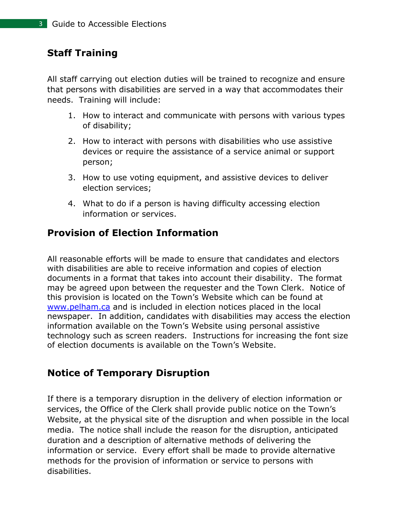# <span id="page-3-0"></span>**Staff Training**

All staff carrying out election duties will be trained to recognize and ensure that persons with disabilities are served in a way that accommodates their needs. Training will include:

- 1. How to interact and communicate with persons with various types of disability;
- 2. How to interact with persons with disabilities who use assistive devices or require the assistance of a service animal or support person;
- 3. How to use voting equipment, and assistive devices to deliver election services;
- 4. What to do if a person is having difficulty accessing election information or services.

# <span id="page-3-1"></span>**Provision of Election Information**

All reasonable efforts will be made to ensure that candidates and electors with disabilities are able to receive information and copies of election documents in a format that takes into account their disability. The format may be agreed upon between the requester and the Town Clerk. Notice of this provision is located on the Town's Website which can be found at [www.pelham.ca](http://www.pelham.ca/) and is included in election notices placed in the local newspaper. In addition, candidates with disabilities may access the election information available on the Town's Website using personal assistive technology such as screen readers. Instructions for increasing the font size of election documents is available on the Town's Website.

# <span id="page-3-2"></span>**Notice of Temporary Disruption**

If there is a temporary disruption in the delivery of election information or services, the Office of the Clerk shall provide public notice on the Town's Website, at the physical site of the disruption and when possible in the local media. The notice shall include the reason for the disruption, anticipated duration and a description of alternative methods of delivering the information or service. Every effort shall be made to provide alternative methods for the provision of information or service to persons with disabilities.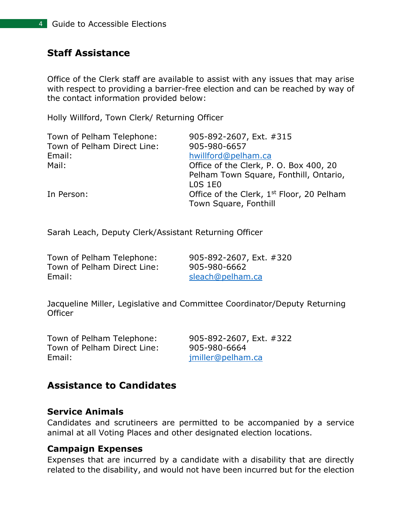# <span id="page-4-0"></span>**Staff Assistance**

Office of the Clerk staff are available to assist with any issues that may arise with respect to providing a barrier-free election and can be reached by way of the contact information provided below:

Holly Willford, Town Clerk/ Returning Officer

| 905-892-2607, Ext. #315                               |
|-------------------------------------------------------|
| 905-980-6657                                          |
| hwillford@pelham.ca                                   |
| Office of the Clerk, P. O. Box 400, 20                |
| Pelham Town Square, Fonthill, Ontario,                |
| <b>LOS 1E0</b>                                        |
| Office of the Clerk, 1 <sup>st</sup> Floor, 20 Pelham |
| Town Square, Fonthill                                 |
|                                                       |

Sarah Leach, Deputy Clerk/Assistant Returning Officer

Town of Pelham Telephone: 905-892-2607, Ext. #320 Town of Pelham Direct Line: 905-980-6662 Email: [sleach@pelham.ca](mailto:sleach@pelham.ca)

Jacqueline Miller, Legislative and Committee Coordinator/Deputy Returning **Officer** 

Town of Pelham Telephone: 905-892-2607, Ext. #322 Town of Pelham Direct Line: 905-980-6664 Email: imiller@pelham.ca

# <span id="page-4-1"></span>**Assistance to Candidates**

#### <span id="page-4-2"></span>**Service Animals**

Candidates and scrutineers are permitted to be accompanied by a service animal at all Voting Places and other designated election locations.

#### <span id="page-4-3"></span>**Campaign Expenses**

Expenses that are incurred by a candidate with a disability that are directly related to the disability, and would not have been incurred but for the election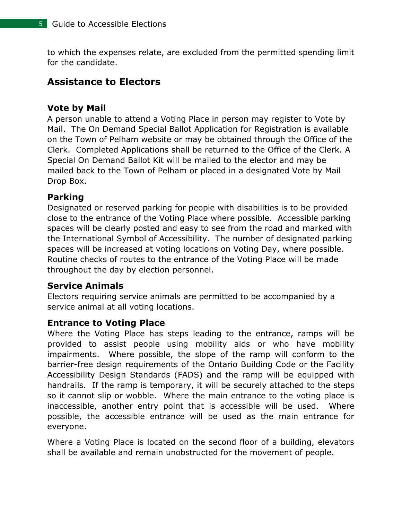to which the expenses relate, are excluded from the permitted spending limit for the candidate.

# <span id="page-5-0"></span>**Assistance to Electors**

### <span id="page-5-1"></span>**Vote by Mail**

A person unable to attend a Voting Place in person may register to Vote by Mail. The On Demand Special Ballot Application for Registration is available on the Town of Pelham website or may be obtained through the Office of the Clerk. Completed Applications shall be returned to the Office of the Clerk. A Special On Demand Ballot Kit will be mailed to the elector and may be mailed back to the Town of Pelham or placed in a designated Vote by Mail Drop Box.

## <span id="page-5-2"></span>**Parking**

Designated or reserved parking for people with disabilities is to be provided close to the entrance of the Voting Place where possible. Accessible parking spaces will be clearly posted and easy to see from the road and marked with the International Symbol of Accessibility. The number of designated parking spaces will be increased at voting locations on Voting Day, where possible. Routine checks of routes to the entrance of the Voting Place will be made throughout the day by election personnel.

## <span id="page-5-3"></span>**Service Animals**

Electors requiring service animals are permitted to be accompanied by a service animal at all voting locations.

#### <span id="page-5-4"></span>**Entrance to Voting Place**

Where the Voting Place has steps leading to the entrance, ramps will be provided to assist people using mobility aids or who have mobility impairments. Where possible, the slope of the ramp will conform to the barrier-free design requirements of the Ontario Building Code or the Facility Accessibility Design Standards (FADS) and the ramp will be equipped with handrails. If the ramp is temporary, it will be securely attached to the steps so it cannot slip or wobble. Where the main entrance to the voting place is inaccessible, another entry point that is accessible will be used. Where possible, the accessible entrance will be used as the main entrance for everyone.

Where a Voting Place is located on the second floor of a building, elevators shall be available and remain unobstructed for the movement of people.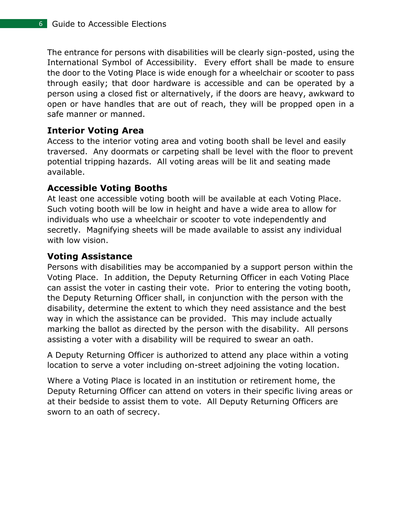The entrance for persons with disabilities will be clearly sign-posted, using the International Symbol of Accessibility. Every effort shall be made to ensure the door to the Voting Place is wide enough for a wheelchair or scooter to pass through easily; that door hardware is accessible and can be operated by a person using a closed fist or alternatively, if the doors are heavy, awkward to open or have handles that are out of reach, they will be propped open in a safe manner or manned.

## <span id="page-6-0"></span>**Interior Voting Area**

Access to the interior voting area and voting booth shall be level and easily traversed. Any doormats or carpeting shall be level with the floor to prevent potential tripping hazards. All voting areas will be lit and seating made available.

# <span id="page-6-1"></span>**Accessible Voting Booths**

At least one accessible voting booth will be available at each Voting Place. Such voting booth will be low in height and have a wide area to allow for individuals who use a wheelchair or scooter to vote independently and secretly. Magnifying sheets will be made available to assist any individual with low vision.

# <span id="page-6-2"></span>**Voting Assistance**

Persons with disabilities may be accompanied by a support person within the Voting Place. In addition, the Deputy Returning Officer in each Voting Place can assist the voter in casting their vote. Prior to entering the voting booth, the Deputy Returning Officer shall, in conjunction with the person with the disability, determine the extent to which they need assistance and the best way in which the assistance can be provided. This may include actually marking the ballot as directed by the person with the disability. All persons assisting a voter with a disability will be required to swear an oath.

A Deputy Returning Officer is authorized to attend any place within a voting location to serve a voter including on-street adjoining the voting location.

Where a Voting Place is located in an institution or retirement home, the Deputy Returning Officer can attend on voters in their specific living areas or at their bedside to assist them to vote. All Deputy Returning Officers are sworn to an oath of secrecy.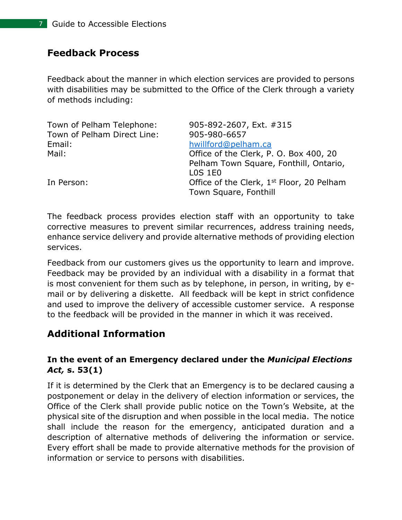## <span id="page-7-0"></span>**Feedback Process**

Feedback about the manner in which election services are provided to persons with disabilities may be submitted to the Office of the Clerk through a variety of methods including:

| 905-892-2607, Ext. #315                                                        |
|--------------------------------------------------------------------------------|
| 905-980-6657                                                                   |
| hwillford@pelham.ca                                                            |
| Office of the Clerk, P. O. Box 400, 20                                         |
| Pelham Town Square, Fonthill, Ontario,                                         |
| <b>LOS 1E0</b>                                                                 |
| Office of the Clerk, 1 <sup>st</sup> Floor, 20 Pelham<br>Town Square, Fonthill |
|                                                                                |

The feedback process provides election staff with an opportunity to take corrective measures to prevent similar recurrences, address training needs, enhance service delivery and provide alternative methods of providing election services.

Feedback from our customers gives us the opportunity to learn and improve. Feedback may be provided by an individual with a disability in a format that is most convenient for them such as by telephone, in person, in writing, by email or by delivering a diskette. All feedback will be kept in strict confidence and used to improve the delivery of accessible customer service. A response to the feedback will be provided in the manner in which it was received.

# <span id="page-7-1"></span>**Additional Information**

#### **In the event of an Emergency declared under the** *Municipal Elections Act,* **s. 53(1)**

If it is determined by the Clerk that an Emergency is to be declared causing a postponement or delay in the delivery of election information or services, the Office of the Clerk shall provide public notice on the Town's Website, at the physical site of the disruption and when possible in the local media. The notice shall include the reason for the emergency, anticipated duration and a description of alternative methods of delivering the information or service. Every effort shall be made to provide alternative methods for the provision of information or service to persons with disabilities.